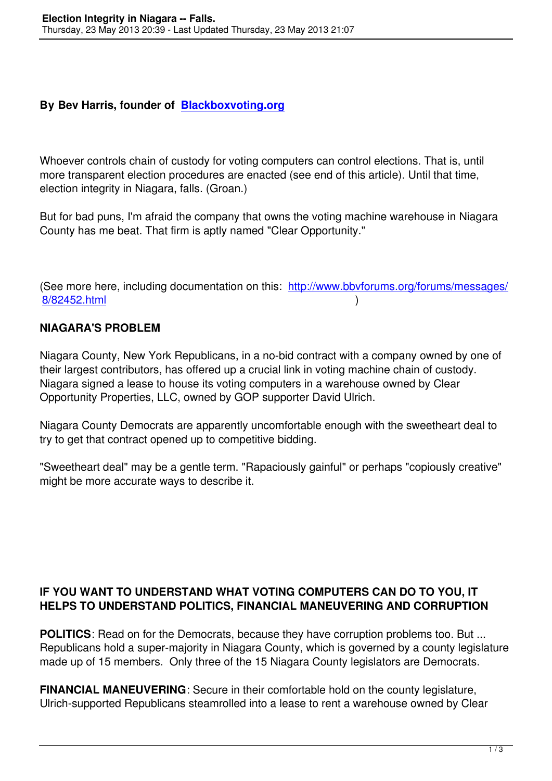## **By Bev Harris, founder of Blackboxvoting.org**

Whoever controls chain of c[ustody for voting comp](Blackboxvoting.org)uters can control elections. That is, until more transparent election procedures are enacted (see end of this article). Until that time, election integrity in Niagara, falls. (Groan.)

But for bad puns, I'm afraid the company that owns the voting machine warehouse in Niagara County has me beat. That firm is aptly named "Clear Opportunity."

(See more here, including documentation on this: http://www.bbvforums.org/forums/messages/ 8/82452.html )

## **NIAGARA'S PROBLEM**

[Niagara Coun](http://www.bbvforums.org/forums/messages/8/82452.html)ty, New York Republicans, in a no-bid contract with a company owned by one of their largest contributors, has offered up a crucial link in voting machine chain of custody. Niagara signed a lease to house its voting computers in a warehouse owned by Clear Opportunity Properties, LLC, owned by GOP supporter David Ulrich.

Niagara County Democrats are apparently uncomfortable enough with the sweetheart deal to try to get that contract opened up to competitive bidding.

"Sweetheart deal" may be a gentle term. "Rapaciously gainful" or perhaps "copiously creative" might be more accurate ways to describe it.

## **IF YOU WANT TO UNDERSTAND WHAT VOTING COMPUTERS CAN DO TO YOU, IT HELPS TO UNDERSTAND POLITICS, FINANCIAL MANEUVERING AND CORRUPTION**

**POLITICS**: Read on for the Democrats, because they have corruption problems too. But ... Republicans hold a super-majority in Niagara County, which is governed by a county legislature made up of 15 members. Only three of the 15 Niagara County legislators are Democrats.

**FINANCIAL MANEUVERING**: Secure in their comfortable hold on the county legislature, Ulrich-supported Republicans steamrolled into a lease to rent a warehouse owned by Clear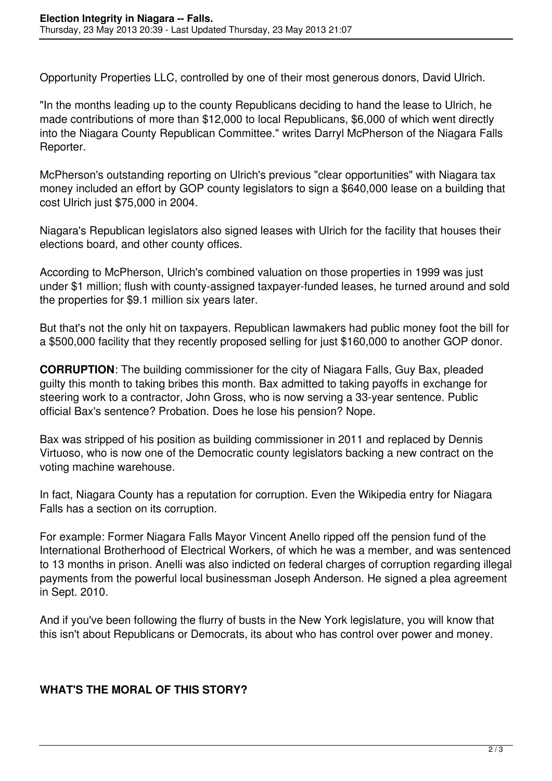Opportunity Properties LLC, controlled by one of their most generous donors, David Ulrich.

"In the months leading up to the county Republicans deciding to hand the lease to Ulrich, he made contributions of more than \$12,000 to local Republicans, \$6,000 of which went directly into the Niagara County Republican Committee." writes Darryl McPherson of the Niagara Falls Reporter.

McPherson's outstanding reporting on Ulrich's previous "clear opportunities" with Niagara tax money included an effort by GOP county legislators to sign a \$640,000 lease on a building that cost Ulrich just \$75,000 in 2004.

Niagara's Republican legislators also signed leases with Ulrich for the facility that houses their elections board, and other county offices.

According to McPherson, Ulrich's combined valuation on those properties in 1999 was just under \$1 million; flush with county-assigned taxpayer-funded leases, he turned around and sold the properties for \$9.1 million six years later.

But that's not the only hit on taxpayers. Republican lawmakers had public money foot the bill for a \$500,000 facility that they recently proposed selling for just \$160,000 to another GOP donor.

**CORRUPTION**: The building commissioner for the city of Niagara Falls, Guy Bax, pleaded guilty this month to taking bribes this month. Bax admitted to taking payoffs in exchange for steering work to a contractor, John Gross, who is now serving a 33-year sentence. Public official Bax's sentence? Probation. Does he lose his pension? Nope.

Bax was stripped of his position as building commissioner in 2011 and replaced by Dennis Virtuoso, who is now one of the Democratic county legislators backing a new contract on the voting machine warehouse.

In fact, Niagara County has a reputation for corruption. Even the Wikipedia entry for Niagara Falls has a section on its corruption.

For example: Former Niagara Falls Mayor Vincent Anello ripped off the pension fund of the International Brotherhood of Electrical Workers, of which he was a member, and was sentenced to 13 months in prison. Anelli was also indicted on federal charges of corruption regarding illegal payments from the powerful local businessman Joseph Anderson. He signed a plea agreement in Sept. 2010.

And if you've been following the flurry of busts in the New York legislature, you will know that this isn't about Republicans or Democrats, its about who has control over power and money.

## **WHAT'S THE MORAL OF THIS STORY?**